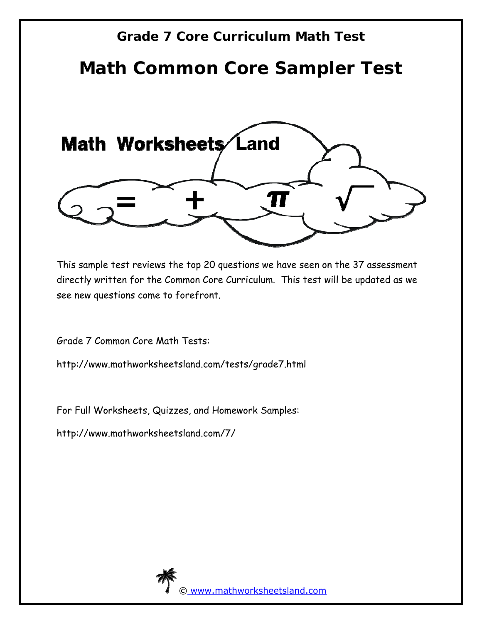# **Grade 7 Core Curriculum Math Test**

# **Math Common Core Sampler Test**



This sample test reviews the top 20 questions we have seen on the 37 assessment directly written for the Common Core Curriculum. This test will be updated as we see new questions come to forefront.

Grade 7 Common Core Math Tests:

http://www.mathworksheetsland.com/tests/grade7.html

For Full Worksheets, Quizzes, and Homework Samples:

http://www.mathworksheetsland.com/7/

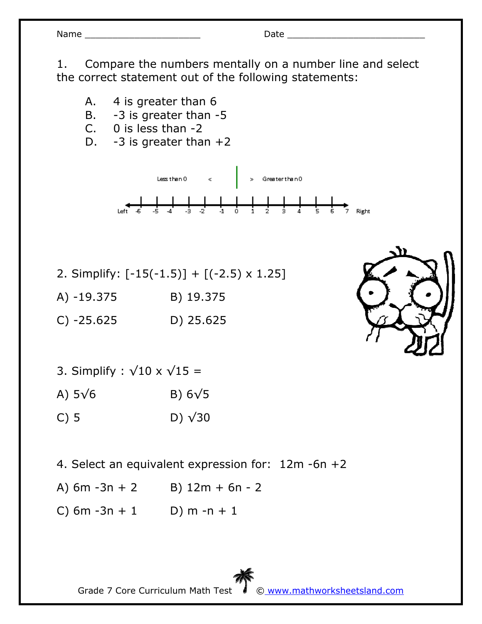| an<br>N |  |
|---------|--|
|---------|--|

1. Compare the numbers mentally on a number line and select the correct statement out of the following statements:

- A. 4 is greater than 6
- B. -3 is greater than -5
- C. 0 is less than -2
- D.  $-3$  is greater than  $+2$



- 2. Simplify:  $[-15(-1.5)] + [(-2.5) \times 1.25]$
- A) -19.375 B) 19.375
- C) -25.625 D) 25.625
- 3. Simplify :  $\sqrt{10} \times \sqrt{15}$  =
- A)  $5\sqrt{6}$  B)  $6\sqrt{5}$
- C) 5 D)  $\sqrt{30}$
- 4. Select an equivalent expression for: 12m -6n +2
- A)  $6m 3n + 2$  B)  $12m + 6n 2$
- C) 6m  $-3n + 1$  D) m  $-n + 1$

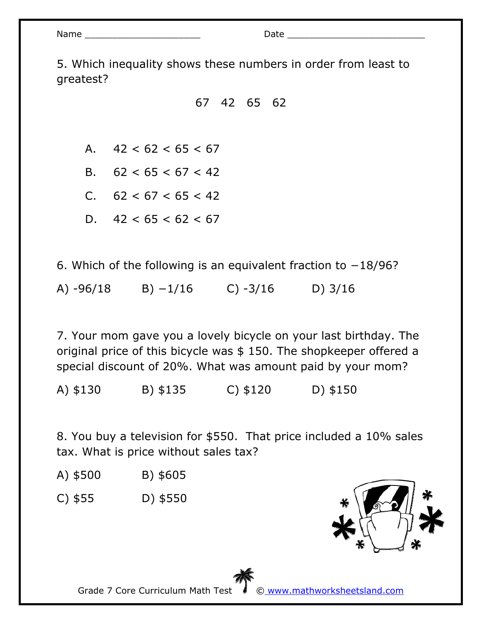| Nar |  |
|-----|--|
|     |  |

5. Which inequality shows these numbers in order from least to greatest?

67 42 65 62

A.  $42 < 62 < 65 < 67$ 

B. 62 < 65 < 67 < 42

C. 62 < 67 < 65 < 42

D.  $42 < 65 < 62 < 67$ 

6. Which of the following is an equivalent fraction to −18/96? A) -96/18 B) −1/16 C) -3/16 D) 3/16

7. Your mom gave you a lovely bicycle on your last birthday. The original price of this bicycle was \$ 150. The shopkeeper offered a special discount of 20%. What was amount paid by your mom?

A) \$130 B) \$135 C) \$120 D) \$150

8. You buy a television for \$550. That price included a 10% sales tax. What is price without sales tax?

- A) \$500 B) \$605
- C) \$55 D) \$550



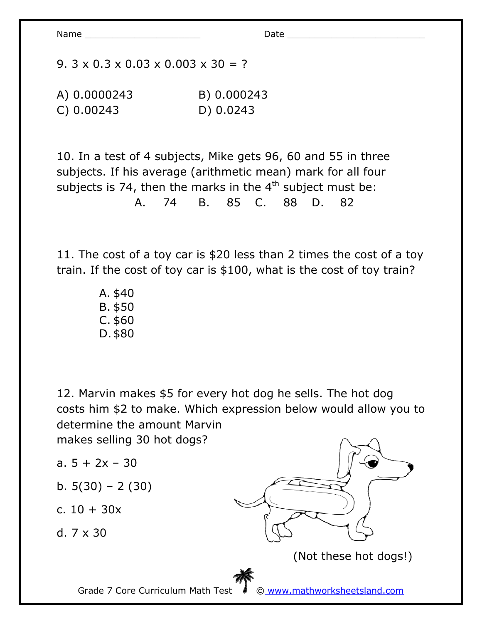9.  $3 \times 0.3 \times 0.03 \times 0.003 \times 30 = ?$ 

A) 0.0000243 B) 0.000243 C) 0.00243 D) 0.0243

10. In a test of 4 subjects, Mike gets 96, 60 and 55 in three subjects. If his average (arithmetic mean) mark for all four subjects is 74, then the marks in the  $4<sup>th</sup>$  subject must be: A. 74 B. 85 C. 88 D. 82

11. The cost of a toy car is \$20 less than 2 times the cost of a toy train. If the cost of toy car is \$100, what is the cost of toy train?

> A. \$40 B. \$50 C. \$60 D.\$80

12. Marvin makes \$5 for every hot dog he sells. The hot dog costs him \$2 to make. Which expression below would allow you to determine the amount Marvin

makes selling 30 hot dogs?

- a.  $5 + 2x 30$
- b.  $5(30) 2(30)$
- c. 10 + 30x

d. 7 x 30



Grade 7 Core Curriculum Math Test © www.mathworksheetsland.com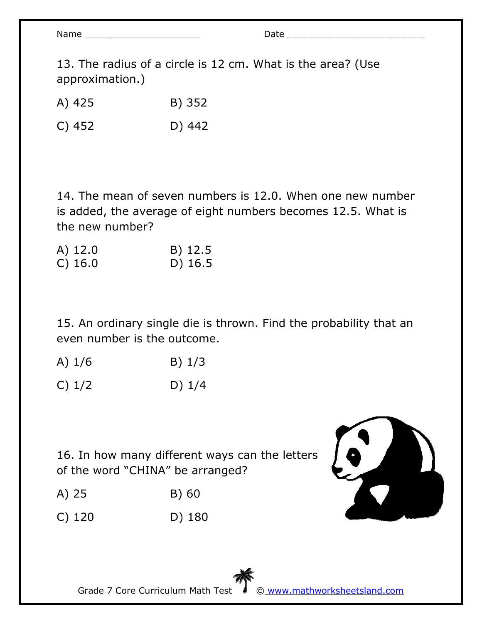13. The radius of a circle is 12 cm. What is the area? (Use approximation.)

A) 425 B) 352

C) 452 D) 442

14. The mean of seven numbers is 12.0. When one new number is added, the average of eight numbers becomes 12.5. What is the new number?

| A) 12.0   | B) 12.5 |
|-----------|---------|
| $C)$ 16.0 | D) 16.5 |

15. An ordinary single die is thrown. Find the probability that an even number is the outcome.

| A) $1/6$ | $B)$ 1/3 |
|----------|----------|
|          |          |

16. In how many different ways can the letters of the word "CHINA" be arranged?

- A) 25 B) 60
- C) 120 D) 180



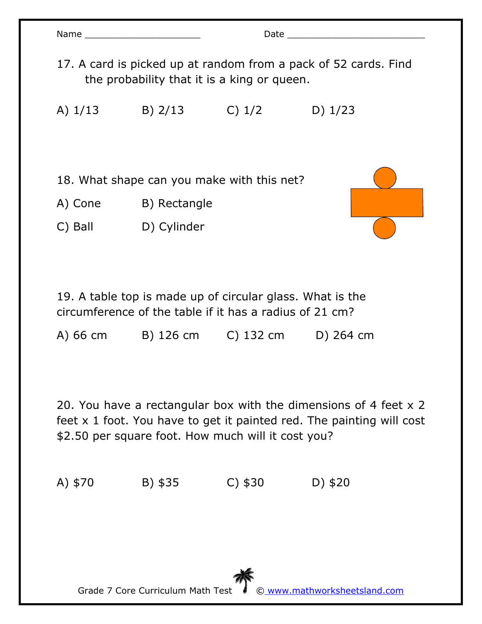| Name and the state of the state of the state of the state of the state of the state of the state of the state of the state of the state of the state of the state of the state of the state of the state of the state of the s |              |        |           |  |  |
|--------------------------------------------------------------------------------------------------------------------------------------------------------------------------------------------------------------------------------|--------------|--------|-----------|--|--|
| 17. A card is picked up at random from a pack of 52 cards. Find<br>the probability that it is a king or queen.                                                                                                                 |              |        |           |  |  |
| A) $1/13$                                                                                                                                                                                                                      | $B)$ 2/13    | C) 1/2 | D) $1/23$ |  |  |
|                                                                                                                                                                                                                                |              |        |           |  |  |
| 18. What shape can you make with this net?                                                                                                                                                                                     |              |        |           |  |  |
| A) Cone                                                                                                                                                                                                                        | B) Rectangle |        |           |  |  |
| C) Ball                                                                                                                                                                                                                        | D) Cylinder  |        |           |  |  |
|                                                                                                                                                                                                                                |              |        |           |  |  |

19. A table top is made up of circular glass. What is the circumference of the table if it has a radius of 21 cm?

A) 66 cm B) 126 cm C) 132 cm D) 264 cm

20. You have a rectangular box with the dimensions of 4 feet x 2 feet x 1 foot. You have to get it painted red. The painting will cost \$2.50 per square foot. How much will it cost you?

A) \$70 B) \$35 C) \$30 D) \$20

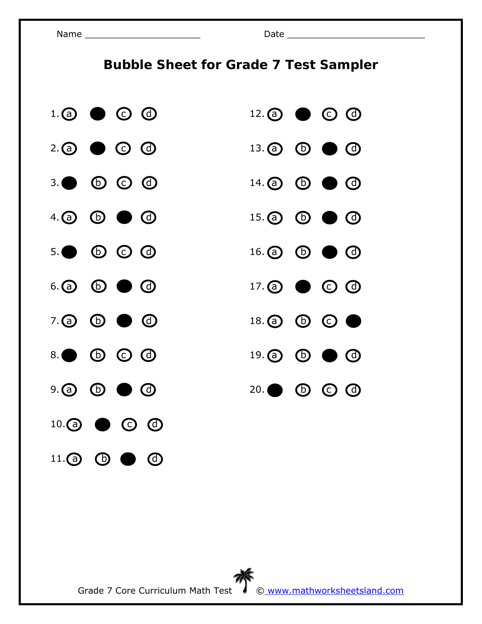Name \_\_\_\_\_\_\_\_\_\_\_\_\_\_\_\_\_\_\_\_\_ Date \_\_\_\_\_\_\_\_\_\_\_\_\_\_\_\_\_\_\_\_\_\_\_\_\_

## **Bubble Sheet for Grade 7 Test Sampler**

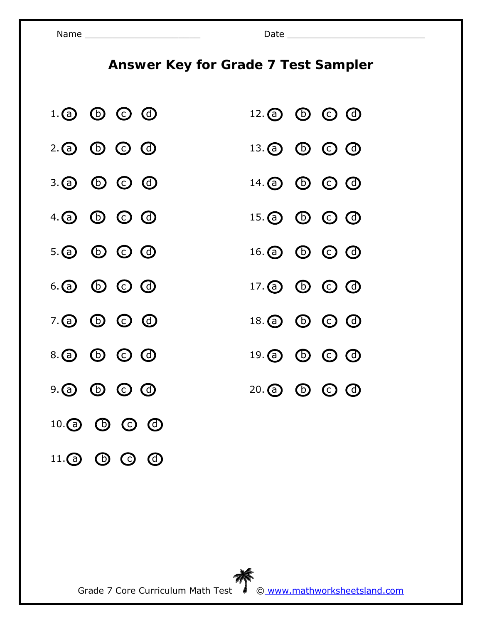11. **a b c d** 

# **Answer Key for Grade 7 Test Sampler**

| $1.$ @ $\circledcirc$ $\circledcirc$ $\circledcirc$ | $12.$ (a) (b) $\odot$ (c)                    |
|-----------------------------------------------------|----------------------------------------------|
| $2.$ ① $\odot$ $\odot$ $\odot$                      | $13.$ $\odot$ $\odot$ $\odot$ $\odot$        |
| 3. <b>@</b> © © @                                   | $14.$ (a) $\bullet$ $\bullet$ $\bullet$      |
| $4.$ (a) $\bullet$ $\bullet$ $\bullet$ $\bullet$    | $15.$ (a) $\odot$ $\odot$ $\odot$            |
| $5.$ @ $\odot$ $\odot$ $\odot$                      | $16.$ $\odot$ $\odot$ $\odot$ $\odot$        |
| 6.a $\circledcirc$ $\circledcirc$ $\circledcirc$    | $17.$ $\odot$ $\odot$ $\odot$ $\odot$        |
| 7. @ © © @                                          | 18. <b>@ @</b> © <b>@</b>                    |
| 8. a 6 c 0                                          | $19.$ (a) (b) $\odot$ (c)                    |
| $9.$ @ $\odot$ $\odot$ $\odot$                      | $20.\textcircled{a}$ $\odot$ $\odot$ $\odot$ |
| $10.$ (a) (b) $\odot$ (c) (c)                       |                                              |

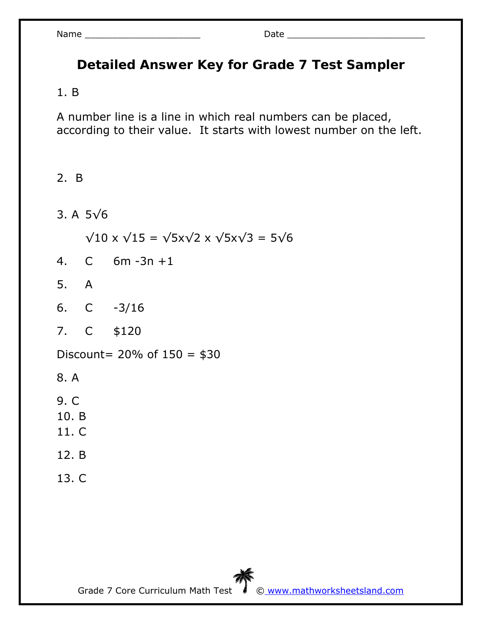## **Detailed Answer Key for Grade 7 Test Sampler**

#### 1. B

A number line is a line in which real numbers can be placed, according to their value. It starts with lowest number on the left.

#### 2. B

3. A 5√6

 $\sqrt{10}$  x  $\sqrt{15}$  =  $\sqrt{5}$ x $\sqrt{2}$  x  $\sqrt{5}$ x $\sqrt{3}$  =  $5\sqrt{6}$ 

- 4. C 6m -3n +1
- 5. A
- 6. C -3/16
- 7. C \$120

Discount=  $20%$  of  $150 = $30$ 

- 8. A
- 9. C
- 10. B
- 11. C
- 12. B
- 13. C